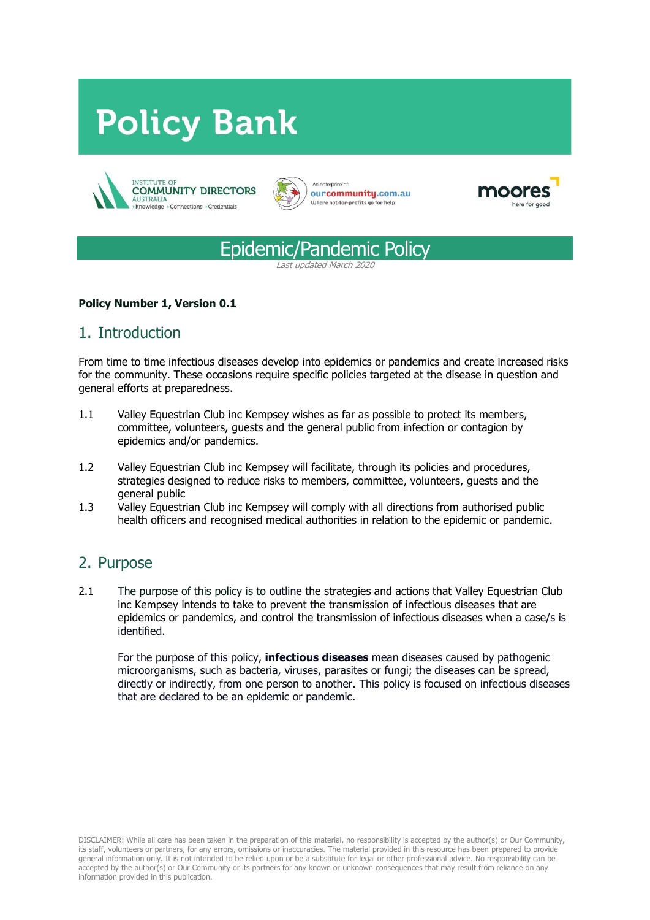# **Policy Bank**











#### **Policy Number 1, Version 0.1**

# 1. Introduction

From time to time infectious diseases develop into epidemics or pandemics and create increased risks for the community. These occasions require specific policies targeted at the disease in question and general efforts at preparedness.

- 1.1 Valley Equestrian Club inc Kempsey wishes as far as possible to protect its members, committee, volunteers, guests and the general public from infection or contagion by epidemics and/or pandemics.
- 1.2 Valley Equestrian Club inc Kempsey will facilitate, through its policies and procedures, strategies designed to reduce risks to members, committee, volunteers, guests and the general public
- 1.3 Valley Equestrian Club inc Kempsey will comply with all directions from authorised public health officers and recognised medical authorities in relation to the epidemic or pandemic.

### 2. Purpose

2.1 The purpose of this policy is to outline the strategies and actions that Valley Equestrian Club inc Kempsey intends to take to prevent the transmission of infectious diseases that are epidemics or pandemics, and control the transmission of infectious diseases when a case/s is identified.

For the purpose of this policy, **infectious diseases** mean diseases caused by pathogenic microorganisms, such as bacteria, viruses, parasites or fungi; the diseases can be spread, directly or indirectly, from one person to another. This policy is focused on infectious diseases that are declared to be an epidemic or pandemic.

DISCLAIMER: While all care has been taken in the preparation of this material, no responsibility is accepted by the author(s) or Our Community, its staff, volunteers or partners, for any errors, omissions or inaccuracies. The material provided in this resource has been prepared to provide general information only. It is not intended to be relied upon or be a substitute for legal or other professional advice. No responsibility can be accepted by the author(s) or Our Community or its partners for any known or unknown consequences that may result from reliance on any information provided in this publication.